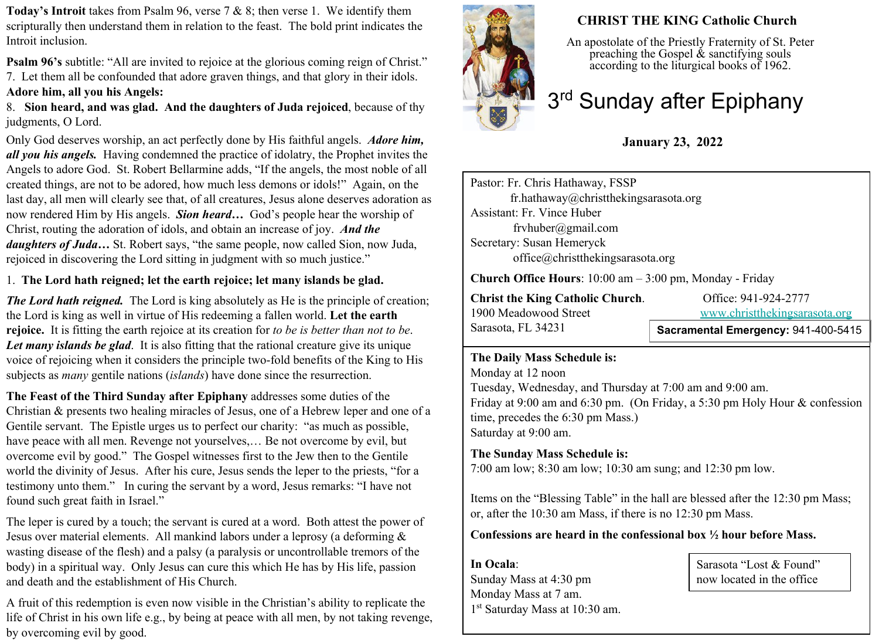**Today's Introit** takes from Psalm 96, verse 7 & 8; then verse 1. We identify them scripturally then understand them in relation to the feast. The bold print indicates the Introit inclusion.

**Psalm 96's** subtitle: "All are invited to rejoice at the glorious coming reign of Christ." 7. Let them all be confounded that adore graven things, and that glory in their idols. **Adore him, all you his Angels:**

8. **Sion heard, and was glad. And the daughters of Juda rejoiced**, because of thy judgments, O Lord.

Only God deserves worship, an act perfectly done by His faithful angels.*Adore him, all you his angels.* Having condemned the practice of idolatry, the Prophet invites the Angels to adore God. St. Robert Bellarmine adds, "If the angels, the most noble of all created things, are not to be adored, how much less demons or idols!" Again, on the last day, all men will clearly see that, of all creatures, Jesus alone deserves adoration as now rendered Him by His angels. *Sion heard…* God's people hear the worship of Christ, routing the adoration of idols, and obtain an increase of joy. *And the daughters of Juda…* St. Robert says, "the same people, now called Sion, now Juda, rejoiced in discovering the Lord sitting in judgment with so much justice."

### 1. **The Lord hath reigned; let the earth rejoice; let many islands be glad.**

*The Lord hath reigned.* The Lord is king absolutely as He is the principle of creation; the Lord is king as well in virtue of His redeeming a fallen world. **Let the earth rejoice.** It is fitting the earth rejoice at its creation for *to be is better than not to be*. *Let many islands be glad*. It is also fitting that the rational creature give its unique voice of rejoicing when it considers the principle two-fold benefits of the King to His subjects as *many* gentile nations (*islands*) have done since the resurrection.

**The Feast of the Third Sunday after Epiphany** addresses some duties of the Christian & presents two healing miracles of Jesus, one of a Hebrew leper and one of a Gentile servant. The Epistle urges us to perfect our charity: "as much as possible, have peace with all men. Revenge not yourselves,… Be not overcome by evil, but overcome evil by good." The Gospel witnesses first to the Jew then to the Gentile world the divinity of Jesus. After his cure, Jesus sends the leper to the priests, "for a testimony unto them." In curing the servant by a word, Jesus remarks: "I have not found such great faith in Israel."

The leper is cured by a touch; the servant is cured at a word. Both attest the power of Jesus over material elements. All mankind labors under a leprosy (a deforming & wasting disease of the flesh) and a palsy (a paralysis or uncontrollable tremors of the body) in a spiritual way. Only Jesus can cure this which He has by His life, passion and death and the establishment of His Church.

A fruit of this redemption is even now visible in the Christian's ability to replicate the life of Christ in his own life e.g., by being at peace with all men, by not taking revenge, by overcoming evil by good.



# **CHRIST THE KING Catholic Church**

An apostolate of the Priestly Fraternity of St. Peter preaching the Gospel  $\&$  sanctifying souls according to the liturgical books of 1962.

# 3<sup>rd</sup> Sunday after Epiphany

# **January 23, 2022**

Pastor: Fr. Chris Hathaway, FSSP fr.hathaway@christthekingsarasota.org Assistant: Fr. Vince Huber frvhuber@gmail.com Secretary: Susan Hemeryck office@christthekingsarasota.org

**Church Office Hours**: 10:00 am – 3:00 pm, Monday - Friday

| <b>Christ the King Catholic Church.</b> | Office: 941-924-2777               |
|-----------------------------------------|------------------------------------|
| 1900 Meadowood Street                   | www.christthekingsarasota.org      |
| Sarasota, FL 34231                      | Sacramental Emergency: 941-400-541 |

**Sacramental Emergency:** 941-400-5415

#### **The Daily Mass Schedule is:**

Monday at 12 noon Tuesday, Wednesday, and Thursday at 7:00 am and 9:00 am. Friday at 9:00 am and 6:30 pm. (On Friday, a 5:30 pm Holy Hour & confession time, precedes the 6:30 pm Mass.) Saturday at 9:00 am.

### **The Sunday Mass Schedule is:**

7:00 am low; 8:30 am low; 10:30 am sung; and 12:30 pm low.

Items on the "Blessing Table" in the hall are blessed after the 12:30 pm Mass; or, after the 10:30 am Mass, if there is no 12:30 pm Mass.

#### **Confessions are heard in the confessional box ½ hour before Mass.**

**In Ocala**: Sunday Mass at 4:30 pm Monday Mass at 7 am. 1 st Saturday Mass at 10:30 am.

Sarasota "Lost & Found" now located in the office